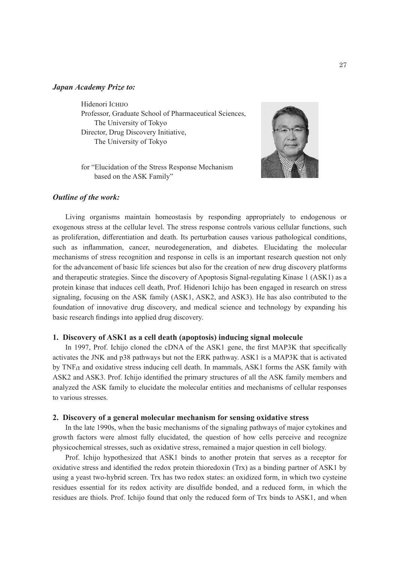#### *Japan Academy Prize to:*

Hidenori ICHIJO Professor, Graduate School of Pharmaceutical Sciences, The University of Tokyo Director, Drug Discovery Initiative, The University of Tokyo

for "Elucidation of the Stress Response Mechanism based on the ASK Family"



Living organisms maintain homeostasis by responding appropriately to endogenous or exogenous stress at the cellular level. The stress response controls various cellular functions, such as proliferation, differentiation and death. Its perturbation causes various pathological conditions, such as inflammation, cancer, neurodegeneration, and diabetes. Elucidating the molecular mechanisms of stress recognition and response in cells is an important research question not only for the advancement of basic life sciences but also for the creation of new drug discovery platforms and therapeutic strategies. Since the discovery of Apoptosis Signal-regulating Kinase 1 (ASK1) as a protein kinase that induces cell death, Prof. Hidenori Ichijo has been engaged in research on stress signaling, focusing on the ASK family (ASK1, ASK2, and ASK3). He has also contributed to the foundation of innovative drug discovery, and medical science and technology by expanding his basic research findings into applied drug discovery.

## **1. Discovery of ASK1 as a cell death (apoptosis) inducing signal molecule**

In 1997, Prof. Ichijo cloned the cDNA of the ASK1 gene, the first MAP3K that specifically activates the JNK and p38 pathways but not the ERK pathway. ASK1 is a MAP3K that is activated by TNF*α* and oxidative stress inducing cell death. In mammals, ASK1 forms the ASK family with ASK2 and ASK3. Prof. Ichijo identified the primary structures of all the ASK family members and analyzed the ASK family to elucidate the molecular entities and mechanisms of cellular responses to various stresses.

## **2. Discovery of a general molecular mechanism for sensing oxidative stress**

In the late 1990s, when the basic mechanisms of the signaling pathways of major cytokines and growth factors were almost fully elucidated, the question of how cells perceive and recognize physicochemical stresses, such as oxidative stress, remained a major question in cell biology.

Prof. Ichijo hypothesized that ASK1 binds to another protein that serves as a receptor for oxidative stress and identified the redox protein thioredoxin (Trx) as a binding partner of ASK1 by using a yeast two-hybrid screen. Trx has two redox states: an oxidized form, in which two cysteine residues essential for its redox activity are disulfide bonded, and a reduced form, in which the residues are thiols. Prof. Ichijo found that only the reduced form of Trx binds to ASK1, and when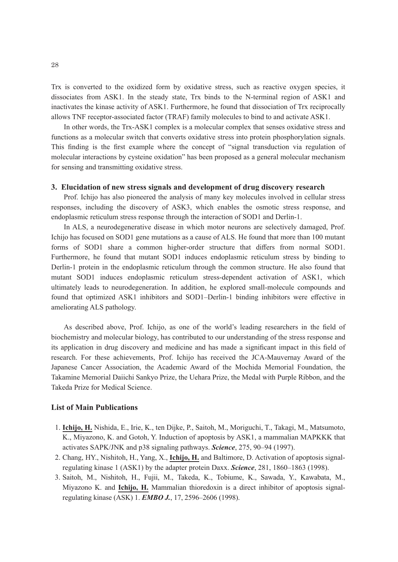Trx is converted to the oxidized form by oxidative stress, such as reactive oxygen species, it dissociates from ASK1. In the steady state, Trx binds to the N-terminal region of ASK1 and inactivates the kinase activity of ASK1. Furthermore, he found that dissociation of Trx reciprocally allows TNF receptor-associated factor (TRAF) family molecules to bind to and activate ASK1.

In other words, the Trx-ASK1 complex is a molecular complex that senses oxidative stress and functions as a molecular switch that converts oxidative stress into protein phosphorylation signals. This finding is the first example where the concept of "signal transduction via regulation of molecular interactions by cysteine oxidation" has been proposed as a general molecular mechanism for sensing and transmitting oxidative stress.

# **3. Elucidation of new stress signals and development of drug discovery research**

Prof. Ichijo has also pioneered the analysis of many key molecules involved in cellular stress responses, including the discovery of ASK3, which enables the osmotic stress response, and endoplasmic reticulum stress response through the interaction of SOD1 and Derlin-1.

In ALS, a neurodegenerative disease in which motor neurons are selectively damaged, Prof. Ichijo has focused on SOD1 gene mutations as a cause of ALS. He found that more than 100 mutant forms of SOD1 share a common higher-order structure that differs from normal SOD1. Furthermore, he found that mutant SOD1 induces endoplasmic reticulum stress by binding to Derlin-1 protein in the endoplasmic reticulum through the common structure. He also found that mutant SOD1 induces endoplasmic reticulum stress-dependent activation of ASK1, which ultimately leads to neurodegeneration. In addition, he explored small-molecule compounds and found that optimized ASK1 inhibitors and SOD1–Derlin-1 binding inhibitors were effective in ameliorating ALS pathology.

As described above, Prof. Ichijo, as one of the world's leading researchers in the field of biochemistry and molecular biology, has contributed to our understanding of the stress response and its application in drug discovery and medicine and has made a significant impact in this field of research. For these achievements, Prof. Ichijo has received the JCA-Mauvernay Award of the Japanese Cancer Association, the Academic Award of the Mochida Memorial Foundation, the Takamine Memorial Daiichi Sankyo Prize, the Uehara Prize, the Medal with Purple Ribbon, and the Takeda Prize for Medical Science.

## **List of Main Publications**

- 1. **Ichijo, H.** Nishida, E., Irie, K., ten Dijke, P., Saitoh, M., Moriguchi, T., Takagi, M., Matsumoto, K., Miyazono, K. and Gotoh, Y. Induction of apoptosis by ASK1, a mammalian MAPKKK that activates SAPK/JNK and p38 signaling pathways. *Science*, 275, 90–94 (1997).
- 2. Chang, HY., Nishitoh, H., Yang, X., **Ichijo, H.** and Baltimore, D. Activation of apoptosis signalregulating kinase 1 (ASK1) by the adapter protein Daxx. *Science*, 281, 1860–1863 (1998).
- 3. Saitoh, M., Nishitoh, H., Fujii, M., Takeda, K., Tobiume, K., Sawada, Y., Kawabata, M., Miyazono K. and **Ichijo, H.** Mammalian thioredoxin is a direct inhibitor of apoptosis signalregulating kinase (ASK) 1. *EMBO J.*, 17, 2596–2606 (1998).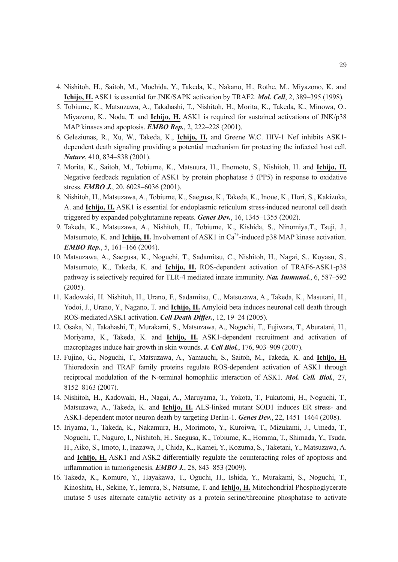- 4. Nishitoh, H., Saitoh, M., Mochida, Y., Takeda, K., Nakano, H., Rothe, M., Miyazono, K. and **Ichijo, H.** ASK1 is essential for JNK/SAPK activation by TRAF2. *Mol. Cell*, 2, 389–395 (1998).
- 5. Tobiume, K., Matsuzawa, A., Takahashi, T., Nishitoh, H., Morita, K., Takeda, K., Minowa, O., Miyazono, K., Noda, T. and **Ichijo, H.** ASK1 is required for sustained activations of JNK/p38 MAP kinases and apoptosis. *EMBO Rep.*, 2, 222–228 (2001).
- 6. Geleziunas, R., Xu, W., Takeda, K., **Ichijo, H.** and Greene W.C. HIV-1 Nef inhibits ASK1 dependent death signaling providing a potential mechanism for protecting the infected host cell. *Nature*, 410, 834–838 (2001).
- 7. Morita, K., Saitoh, M., Tobiume, K., Matsuura, H., Enomoto, S., Nishitoh, H. and **Ichijo, H.**  Negative feedback regulation of ASK1 by protein phophatase 5 (PP5) in response to oxidative stress. *EMBO J.*, 20, 6028–6036 (2001).
- 8. Nishitoh, H., Matsuzawa, A., Tobiume, K., Saegusa, K., Takeda, K., Inoue, K., Hori, S., Kakizuka, A. and **Ichijo, H.** ASK1 is essential for endoplasmic reticulum stress-induced neuronal cell death triggered by expanded polyglutamine repeats. *Genes Dev.*, 16, 1345–1355 (2002).
- 9. Takeda, K., Matsuzawa, A., Nishitoh, H., Tobiume, K., Kishida, S., Ninomiya,T., Tsuji, J., Matsumoto, K. and **Ichijo, H.** Involvement of ASK1 in  $Ca^{2+}$ -induced p38 MAP kinase activation. *EMBO Rep.*, 5, 161–166 (2004).
- 10. Matsuzawa, A., Saegusa, K., Noguchi, T., Sadamitsu, C., Nishitoh, H., Nagai, S., Koyasu, S., Matsumoto, K., Takeda, K. and **Ichijo, H.** ROS-dependent activation of TRAF6-ASK1-p38 pathway is selectively required for TLR-4 mediated innate immunity. *Nat. Immunol.*, 6, 587–592 (2005).
- 11. Kadowaki, H. Nishitoh, H., Urano, F., Sadamitsu, C., Matsuzawa, A., Takeda, K., Masutani, H., Yodoi, J., Urano, Y., Nagano, T. and **Ichijo, H.** Amyloid beta induces neuronal cell death through ROS-mediated ASK1 activation. *Cell Death Differ.*, 12, 19–24 (2005).
- 12. Osaka, N., Takahashi, T., Murakami, S., Matsuzawa, A., Noguchi, T., Fujiwara, T., Aburatani, H., Moriyama, K., Takeda, K. and **Ichijo, H.** ASK1-dependent recruitment and activation of macrophages induce hair growth in skin wounds. *J. Cell Biol.*, 176, 903–909 (2007).
- 13. Fujino, G., Noguchi, T., Matsuzawa, A., Yamauchi, S., Saitoh, M., Takeda, K. and **Ichijo, H.**  Thioredoxin and TRAF family proteins regulate ROS-dependent activation of ASK1 through reciprocal modulation of the N-terminal homophilic interaction of ASK1. *Mol. Cell. Biol.*, 27, 8152–8163 (2007).
- 14. Nishitoh, H., Kadowaki, H., Nagai, A., Maruyama, T., Yokota, T., Fukutomi, H., Noguchi, T., Matsuzawa, A., Takeda, K. and **Ichijo, H.** ALS-linked mutant SOD1 induces ER stress- and ASK1-dependent motor neuron death by targeting Derlin-1. *Genes Dev.*, 22, 1451–1464 (2008).
- 15. Iriyama, T., Takeda, K., Nakamura, H., Morimoto, Y., Kuroiwa, T., Mizukami, J., Umeda, T., Noguchi, T., Naguro, I., Nishitoh, H., Saegusa, K., Tobiume, K., Homma, T., Shimada, Y., Tsuda, H., Aiko, S., Imoto, I., Inazawa, J., Chida, K., Kamei, Y., Kozuma, S., Taketani, Y., Matsuzawa, A. and **Ichijo, H.** ASK1 and ASK2 differentially regulate the counteracting roles of apoptosis and inflammation in tumorigenesis. *EMBO J.*, 28, 843–853 (2009).
- 16. Takeda, K., Komuro, Y., Hayakawa, T., Oguchi, H., Ishida, Y., Murakami, S., Noguchi, T., Kinoshita, H., Sekine, Y., Iemura, S., Natsume, T. and **Ichijo, H.** Mitochondrial Phosphoglycerate mutase 5 uses alternate catalytic activity as a protein serine/threonine phosphatase to activate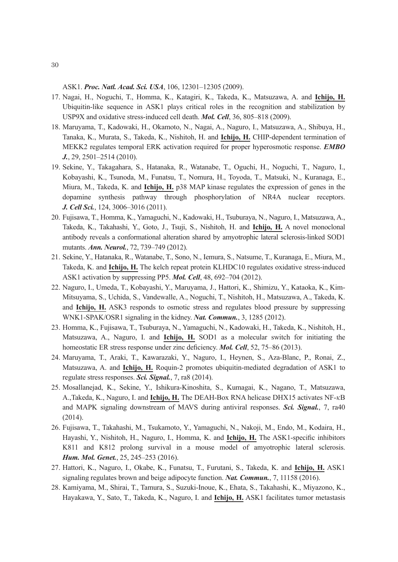ASK1. *Proc. Natl. Acad. Sci. USA*, 106, 12301–12305 (2009).

- 17. Nagai, H., Noguchi, T., Homma, K., Katagiri, K., Takeda, K., Matsuzawa, A. and **Ichijo, H.** Ubiquitin-like sequence in ASK1 plays critical roles in the recognition and stabilization by USP9X and oxidative stress-induced cell death. *Mol. Cell*, 36, 805–818 (2009).
- 18. Maruyama, T., Kadowaki, H., Okamoto, N., Nagai, A., Naguro, I., Matsuzawa, A., Shibuya, H., Tanaka, K., Murata, S., Takeda, K., Nishitoh, H. and **Ichijo, H.** CHIP-dependent termination of MEKK2 regulates temporal ERK activation required for proper hyperosmotic response. *EMBO J.*, 29, 2501–2514 (2010).
- 19. Sekine, Y., Takagahara, S., Hatanaka, R., Watanabe, T., Oguchi, H., Noguchi, T., Naguro, I., Kobayashi, K., Tsunoda, M., Funatsu, T., Nomura, H., Toyoda, T., Matsuki, N., Kuranaga, E., Miura, M., Takeda, K. and **Ichijo, H.** p38 MAP kinase regulates the expression of genes in the dopamine synthesis pathway through phosphorylation of NR4A nuclear receptors. *J. Cell Sci.*, 124, 3006–3016 (2011).
- 20. Fujisawa, T., Homma, K., Yamaguchi, N., Kadowaki, H., Tsuburaya, N., Naguro, I., Matsuzawa, A., Takeda, K., Takahashi, Y., Goto, J., Tsuji, S., Nishitoh, H. and **Ichijo, H.** A novel monoclonal antibody reveals a conformational alteration shared by amyotrophic lateral sclerosis-linked SOD1 mutants. *Ann. Neurol.*, 72, 739–749 (2012).
- 21. Sekine, Y., Hatanaka, R., Watanabe, T., Sono, N., Iemura, S., Natsume, T., Kuranaga, E., Miura, M., Takeda, K. and **Ichijo, H.** The kelch repeat protein KLHDC10 regulates oxidative stress-induced ASK1 activation by suppressing PP5. *Mol. Cell*, 48, 692–704 (2012).
- 22. Naguro, I., Umeda, T., Kobayashi, Y., Maruyama, J., Hattori, K., Shimizu, Y., Kataoka, K., Kim-Mitsuyama, S., Uchida, S., Vandewalle, A., Noguchi, T., Nishitoh, H., Matsuzawa, A., Takeda, K. and **Ichijo, H.** ASK3 responds to osmotic stress and regulates blood pressure by suppressing WNK1-SPAK/OSR1 signaling in the kidney. *Nat. Commun.*, 3, 1285 (2012).
- 23. Homma, K., Fujisawa, T., Tsuburaya, N., Yamaguchi, N., Kadowaki, H., Takeda, K., Nishitoh, H., Matsuzawa, A., Naguro, I. and **Ichijo, H.** SOD1 as a molecular switch for initiating the homeostatic ER stress response under zinc deficiency. *Mol. Cell*, 52, 75–86 (2013).
- 24. Maruyama, T., Araki, T., Kawarazaki, Y., Naguro, I., Heynen, S., Aza-Blanc, P., Ronai, Z., Matsuzawa, A. and **Ichijo, H.** Roquin-2 promotes ubiquitin-mediated degradation of ASK1 to regulate stress responses. *Sci. Signal.*, 7, ra8 (2014).
- 25. Mosallanejad, K., Sekine, Y., Ishikura-Kinoshita, S., Kumagai, K., Nagano, T., Matsuzawa, A.,Takeda, K., Naguro, I. and **Ichijo, H.** The DEAH-Box RNA helicase DHX15 activates NF-*κ*B and MAPK signaling downstream of MAVS during antiviral responses. *Sci. Signal.*, 7, ra40 (2014).
- 26. Fujisawa, T., Takahashi, M., Tsukamoto, Y., Yamaguchi, N., Nakoji, M., Endo, M., Kodaira, H., Hayashi, Y., Nishitoh, H., Naguro, I., Homma, K. and **Ichijo, H.** The ASK1-specific inhibitors K811 and K812 prolong survival in a mouse model of amyotrophic lateral sclerosis. *Hum. Mol. Genet.*, 25, 245–253 (2016).
- 27. Hattori, K., Naguro, I., Okabe, K., Funatsu, T., Furutani, S., Takeda, K. and **Ichijo, H.** ASK1 signaling regulates brown and beige adipocyte function. *Nat. Commun.*, 7, 11158 (2016).
- 28. Kamiyama, M., Shirai, T., Tamura, S., Suzuki-Inoue, K., Ehata, S., Takahashi, K., Miyazono, K., Hayakawa, Y., Sato, T., Takeda, K., Naguro, I. and **Ichijo, H.** ASK1 facilitates tumor metastasis